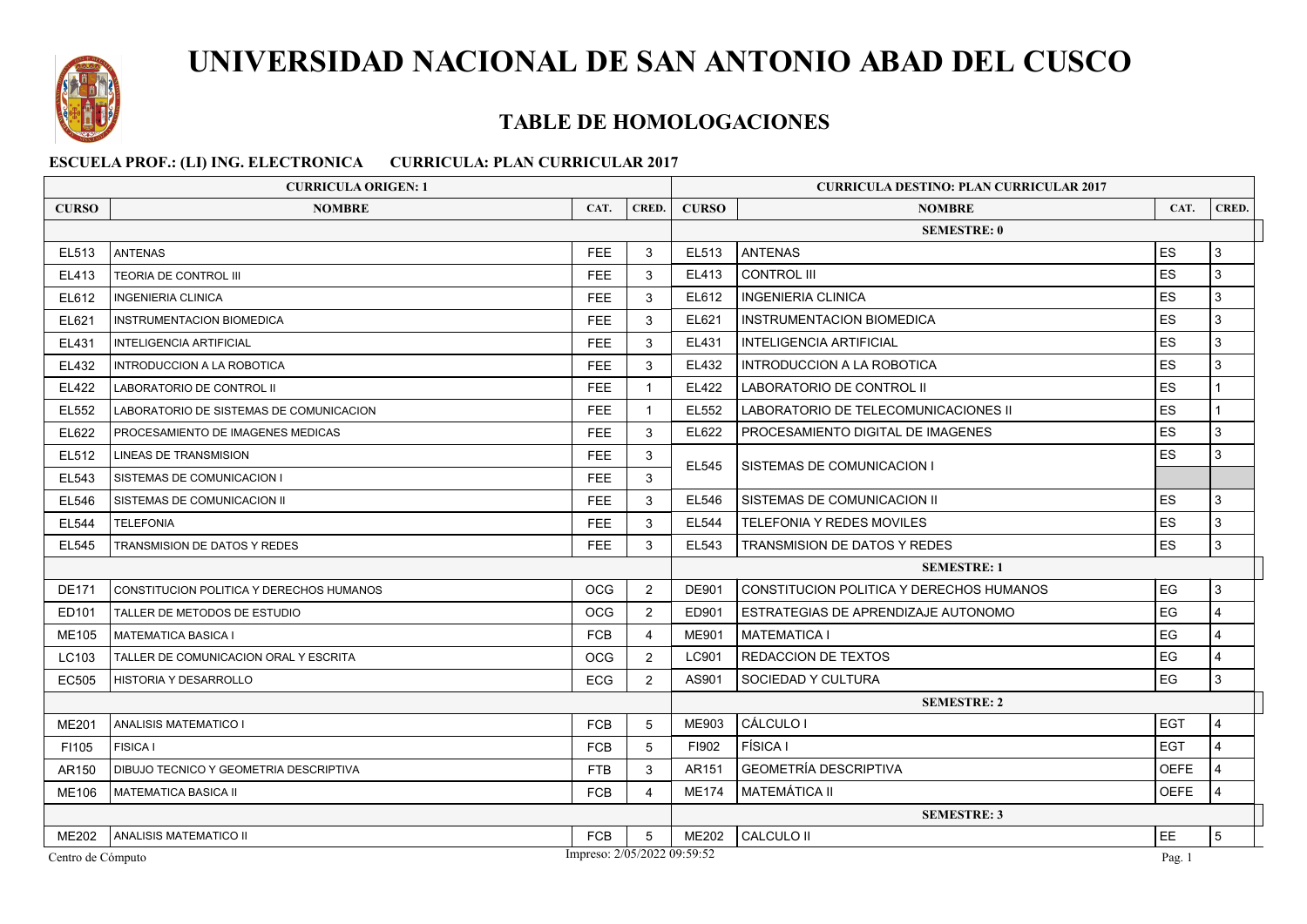

## **TABLE DE HOMOLOGACIONES**

| <b>CURRICULA ORIGEN: 1</b>                       |                                          |                    |                    |              | <b>CURRICULA DESTINO: PLAN CURRICULAR 2017</b> |             |                |  |
|--------------------------------------------------|------------------------------------------|--------------------|--------------------|--------------|------------------------------------------------|-------------|----------------|--|
| <b>CURSO</b>                                     | <b>NOMBRE</b>                            | CAT.               | CRED.              | <b>CURSO</b> | <b>NOMBRE</b>                                  | CAT.        | CRED.          |  |
|                                                  |                                          | <b>SEMESTRE: 0</b> |                    |              |                                                |             |                |  |
| EL513                                            | <b>ANTENAS</b>                           | FEE                | 3                  | EL513        | <b>ANTENAS</b>                                 | <b>ES</b>   | 3              |  |
| EL413                                            | <b>TEORIA DE CONTROL III</b>             | <b>FEE</b>         | 3                  | EL413        | <b>CONTROL III</b>                             | <b>ES</b>   | $\mathbf{3}$   |  |
| EL612                                            | <b>INGENIERIA CLINICA</b>                | FEE.               | 3                  | EL612        | <b>INGENIERIA CLINICA</b>                      | <b>ES</b>   | 3              |  |
| EL621                                            | <b>INSTRUMENTACION BIOMEDICA</b>         | <b>FEE</b>         | 3                  | EL621        | <b>INSTRUMENTACION BIOMEDICA</b>               | <b>ES</b>   | 3              |  |
| EL431                                            | <b>INTELIGENCIA ARTIFICIAL</b>           | <b>FEE</b>         | 3                  | EL431        | <b>INTELIGENCIA ARTIFICIAL</b>                 | <b>ES</b>   | 3              |  |
| EL432                                            | INTRODUCCION A LA ROBOTICA               | FEE                | 3                  | EL432        | INTRODUCCION A LA ROBOTICA                     | <b>ES</b>   | 3              |  |
| EL422                                            | LABORATORIO DE CONTROL II                | <b>FEE</b>         | $\mathbf{1}$       | EL422        | LABORATORIO DE CONTROL II                      | <b>ES</b>   |                |  |
| EL552                                            | LABORATORIO DE SISTEMAS DE COMUNICACION  | FEE                | $\mathbf{1}$       | EL552        | LABORATORIO DE TELECOMUNICACIONES II           | <b>ES</b>   |                |  |
| EL622                                            | PROCESAMIENTO DE IMAGENES MEDICAS        | FEE.               | 3                  | EL622        | PROCESAMIENTO DIGITAL DE IMAGENES              | <b>ES</b>   | 3              |  |
| EL512                                            | LINEAS DE TRANSMISION                    | FEE.               | 3                  | EL545        |                                                | <b>ES</b>   | 3              |  |
| EL543                                            | SISTEMAS DE COMUNICACION I               | <b>FEE</b>         | 3                  |              | SISTEMAS DE COMUNICACION I                     |             |                |  |
| <b>EL546</b>                                     | SISTEMAS DE COMUNICACION II              | <b>FEE</b>         | 3                  | EL546        | SISTEMAS DE COMUNICACION II                    | <b>ES</b>   | 3              |  |
| <b>EL544</b>                                     | <b>TELEFONIA</b>                         | FEE                | 3                  | EL544        | TELEFONIA Y REDES MOVILES                      | <b>ES</b>   | 3              |  |
| EL545                                            | TRANSMISION DE DATOS Y REDES             | <b>FEE</b>         | 3                  | EL543        | <b>TRANSMISION DE DATOS Y REDES</b>            | <b>ES</b>   | $\mathbf{3}$   |  |
|                                                  |                                          |                    | <b>SEMESTRE: 1</b> |              |                                                |             |                |  |
| <b>DE171</b>                                     | CONSTITUCION POLITICA Y DERECHOS HUMANOS | <b>OCG</b>         | $\overline{2}$     | DE901        | CONSTITUCION POLITICA Y DERECHOS HUMANOS       | EG          | 3              |  |
| ED101                                            | TALLER DE METODOS DE ESTUDIO             | OCG                | $\overline{2}$     | ED901        | ESTRATEGIAS DE APRENDIZAJE AUTONOMO            | EG          | $\overline{4}$ |  |
| ME105                                            | <b>MATEMATICA BASICA I</b>               | <b>FCB</b>         | 4                  | ME901        | <b>MATEMATICA I</b>                            | EG          | $\overline{4}$ |  |
| LC103                                            | TALLER DE COMUNICACION ORAL Y ESCRITA    | <b>OCG</b>         | 2                  | LC901        | <b>REDACCION DE TEXTOS</b>                     | EG          | $\overline{4}$ |  |
| EC505                                            | HISTORIA Y DESARROLLO                    | <b>ECG</b>         | $\overline{2}$     | AS901        | SOCIEDAD Y CULTURA                             | EG          | 3              |  |
|                                                  |                                          |                    | <b>SEMESTRE: 2</b> |              |                                                |             |                |  |
| <b>ME201</b>                                     | <b>ANALISIS MATEMATICO I</b>             | <b>FCB</b>         | 5                  | ME903        | CÁLCULO I                                      | <b>EGT</b>  | $\overline{4}$ |  |
| F1105                                            | <b>FISICA I</b>                          | <b>FCB</b>         | 5                  | FI902        | <b>FÍSICA I</b>                                | l EGT       | $\overline{4}$ |  |
| AR150                                            | DIBUJO TECNICO Y GEOMETRIA DESCRIPTIVA   | <b>FTB</b>         | 3                  | AR151        | <b>GEOMETRÍA DESCRIPTIVA</b>                   | <b>OEFE</b> | $\overline{4}$ |  |
| ME106                                            | <b>MATEMATICA BASICA II</b>              | <b>FCB</b>         | $\overline{a}$     | <b>ME174</b> | I MATEMÁTICA II                                | <b>OEFE</b> | $\overline{4}$ |  |
|                                                  |                                          | <b>SEMESTRE: 3</b> |                    |              |                                                |             |                |  |
| ME202                                            | ANALISIS MATEMATICO II                   | <b>FCB</b>         | 5                  | <b>ME202</b> | <b>CALCULO II</b>                              | EE          | 5              |  |
| Impreso: 2/05/2022 09:59:52<br>Centro de Cómputo |                                          |                    |                    |              |                                                | Pag. 1      |                |  |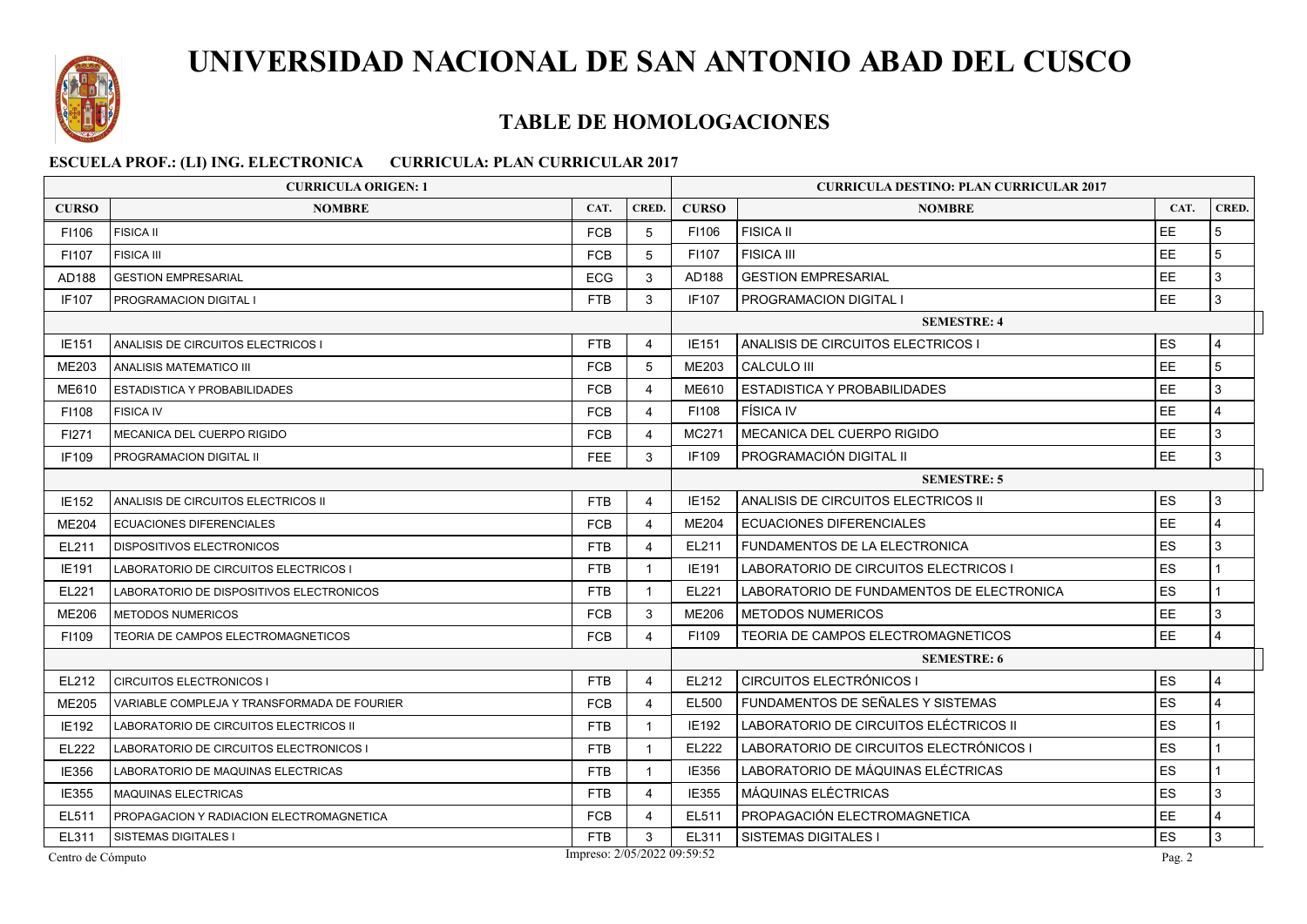

### **TABLE DE HOMOLOGACIONES**

| <b>CURRICULA ORIGEN: 1</b>                       |                                             |                    |                         |              | <b>CURRICULA DESTINO: PLAN CURRICULAR 2017</b> |           |                 |  |  |
|--------------------------------------------------|---------------------------------------------|--------------------|-------------------------|--------------|------------------------------------------------|-----------|-----------------|--|--|
| <b>CURSO</b>                                     | <b>NOMBRE</b>                               | CAT.               | CRED.                   | <b>CURSO</b> | <b>NOMBRE</b>                                  | CAT.      | CRED.           |  |  |
| F1106                                            | <b>FISICA II</b>                            | <b>FCB</b>         | 5                       | F1106        | <b>FISICA II</b>                               | EE        | 5               |  |  |
| F1107                                            | <b>FISICA III</b>                           | <b>FCB</b>         | 5                       | F1107        | <b>FISICA III</b>                              | EE        | 5               |  |  |
| AD188                                            | <b>GESTION EMPRESARIAL</b>                  | <b>ECG</b>         | 3                       | AD188        | <b>GESTION EMPRESARIAL</b>                     | EE        | 3               |  |  |
| <b>IF107</b>                                     | PROGRAMACION DIGITAL I                      | <b>FTB</b>         | 3                       | <b>IF107</b> | PROGRAMACION DIGITAL I                         | EE        | $\mathbf{3}$    |  |  |
|                                                  |                                             | <b>SEMESTRE: 4</b> |                         |              |                                                |           |                 |  |  |
| <b>IE151</b>                                     | ANALISIS DE CIRCUITOS ELECTRICOS I          | <b>FTB</b>         | $\overline{4}$          | IE151        | ANALISIS DE CIRCUITOS ELECTRICOS I             | ES        | $\overline{4}$  |  |  |
| <b>ME203</b>                                     | ANALISIS MATEMATICO III                     | <b>FCB</b>         | 5                       | <b>ME203</b> | <b>CALCULO III</b>                             | EE        | $5\overline{5}$ |  |  |
| ME610                                            | ESTADISTICA Y PROBABILIDADES                | <b>FCB</b>         | 4                       | ME610        | ESTADISTICA Y PROBABILIDADES                   | EE        | 3               |  |  |
| F1108                                            | <b>FISICA IV</b>                            | <b>FCB</b>         | $\overline{4}$          | F1108        | <b>FÍSICA IV</b>                               | EE        | $\overline{4}$  |  |  |
| FI271                                            | MECANICA DEL CUERPO RIGIDO                  | <b>FCB</b>         | $\overline{4}$          | MC271        | MECANICA DEL CUERPO RIGIDO                     | <b>EE</b> | 3               |  |  |
| IF109                                            | PROGRAMACION DIGITAL II                     | <b>FEE</b>         | 3                       | IF109        | PROGRAMACIÓN DIGITAL II                        | EE        | $\mathbf{3}$    |  |  |
|                                                  |                                             |                    | <b>SEMESTRE: 5</b>      |              |                                                |           |                 |  |  |
| <b>IE152</b>                                     | ANALISIS DE CIRCUITOS ELECTRICOS II         | <b>FTB</b>         | $\overline{4}$          | IE152        | ANALISIS DE CIRCUITOS ELECTRICOS II.           | ES        | 3               |  |  |
| ME204                                            | <b>ECUACIONES DIFERENCIALES</b>             | <b>FCB</b>         | $\overline{4}$          | <b>ME204</b> | <b>ECUACIONES DIFERENCIALES</b>                | EE        | $\overline{4}$  |  |  |
| EL211                                            | <b>DISPOSITIVOS ELECTRONICOS</b>            | <b>FTB</b>         | $\overline{4}$          | EL211        | FUNDAMENTOS DE LA ELECTRONICA                  | ES        | 3               |  |  |
| IE191                                            | LABORATORIO DE CIRCUITOS ELECTRICOS I       | <b>FTB</b>         | $\overline{1}$          | IE191        | LABORATORIO DE CIRCUITOS ELECTRICOS I          | ES        |                 |  |  |
| EL221                                            | LABORATORIO DE DISPOSITIVOS ELECTRONICOS    | FTB                | $\mathbf{1}$            | EL221        | LABORATORIO DE FUNDAMENTOS DE ELECTRONICA      | ES        |                 |  |  |
| ME206                                            | <b>METODOS NUMERICOS</b>                    | <b>FCB</b>         | 3                       | <b>ME206</b> | <b>METODOS NUMERICOS</b>                       | <b>EE</b> | 3               |  |  |
| F1109                                            | TEORIA DE CAMPOS ELECTROMAGNETICOS          | <b>FCB</b>         | $\overline{\mathbf{A}}$ | F1109        | TEORIA DE CAMPOS ELECTROMAGNETICOS             | EE        | 4               |  |  |
|                                                  |                                             |                    |                         |              | <b>SEMESTRE: 6</b>                             |           |                 |  |  |
| EL212                                            | <b>CIRCUITOS ELECTRONICOS I</b>             | FTB                | $\overline{4}$          | EL212        | CIRCUITOS ELECTRÓNICOS I                       | ES        | $\overline{4}$  |  |  |
| ME205                                            | VARIABLE COMPLEJA Y TRANSFORMADA DE FOURIER | <b>FCB</b>         | $\overline{4}$          | EL500        | FUNDAMENTOS DE SEÑALES Y SISTEMAS              | ES        | $\overline{4}$  |  |  |
| <b>IE192</b>                                     | LABORATORIO DE CIRCUITOS ELECTRICOS II      | <b>FTB</b>         | $\overline{1}$          | <b>IE192</b> | LABORATORIO DE CIRCUITOS ELÉCTRICOS II         | <b>ES</b> | $\mathbf{1}$    |  |  |
| EL222                                            | LABORATORIO DE CIRCUITOS ELECTRONICOS I     | <b>FTB</b>         | $\mathbf{1}$            | EL222        | LABORATORIO DE CIRCUITOS ELECTRÓNICOS I        | ES        |                 |  |  |
| IE356                                            | LABORATORIO DE MAQUINAS ELECTRICAS          | <b>FTB</b>         | $\overline{1}$          | IE356        | LABORATORIO DE MÁQUINAS ELÉCTRICAS             | ES        |                 |  |  |
| IE355                                            | MAQUINAS ELECTRICAS                         | FTB                | 4                       | IE355        | MÁQUINAS ELÉCTRICAS                            | ES        | 3               |  |  |
| EL511                                            | PROPAGACION Y RADIACION ELECTROMAGNETICA    | <b>FCB</b>         | 4                       | EL511        | PROPAGACIÓN ELECTROMAGNETICA                   | EE        | $\overline{4}$  |  |  |
| EL311                                            | SISTEMAS DIGITALES I                        | <b>FTB</b>         | 3                       | EL311        | <b>SISTEMAS DIGITALES I</b>                    | ES        | 3               |  |  |
| Impreso: 2/05/2022 09:59:52<br>Centro de Cómputo |                                             |                    |                         |              |                                                |           |                 |  |  |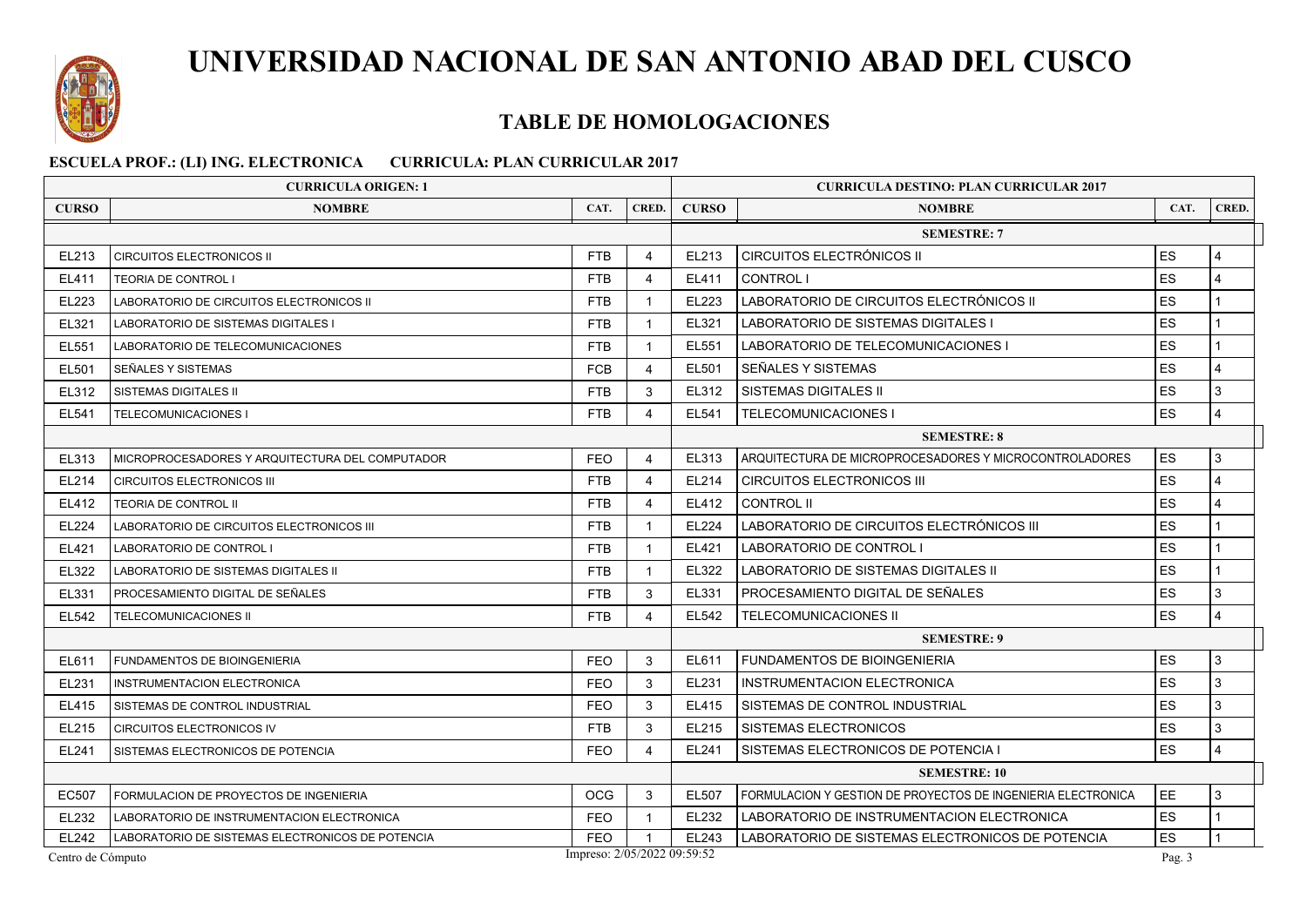

## **TABLE DE HOMOLOGACIONES**

|                                                              | <b>CURRICULA ORIGEN: 1</b>                       | <b>CURRICULA DESTINO: PLAN CURRICULAR 2017</b> |                |              |                                                              |           |       |  |  |  |
|--------------------------------------------------------------|--------------------------------------------------|------------------------------------------------|----------------|--------------|--------------------------------------------------------------|-----------|-------|--|--|--|
| <b>CURSO</b>                                                 | <b>NOMBRE</b>                                    | CAT.                                           | CRED.          | <b>CURSO</b> | <b>NOMBRE</b>                                                | CAT.      | CRED. |  |  |  |
| <b>SEMESTRE: 7</b>                                           |                                                  |                                                |                |              |                                                              |           |       |  |  |  |
| EL213                                                        | <b>CIRCUITOS ELECTRONICOS II</b>                 | <b>FTB</b>                                     | $\overline{4}$ | EL213        | <b>CIRCUITOS ELECTRÓNICOS II</b>                             | ES        | 4     |  |  |  |
| EL411                                                        | TEORIA DE CONTROL I                              | <b>FTB</b>                                     | $\overline{4}$ | EL411        | <b>CONTROL I</b>                                             | ES        | 4     |  |  |  |
| EL223                                                        | LABORATORIO DE CIRCUITOS ELECTRONICOS II         | <b>FTB</b>                                     | $\mathbf{1}$   | EL223        | LABORATORIO DE CIRCUITOS ELECTRÓNICOS II                     | ES        |       |  |  |  |
| EL321                                                        | <b>LABORATORIO DE SISTEMAS DIGITALES I</b>       | <b>FTB</b>                                     | $\mathbf{1}$   | EL321        | LABORATORIO DE SISTEMAS DIGITALES I                          | <b>ES</b> |       |  |  |  |
| EL551                                                        | LABORATORIO DE TELECOMUNICACIONES                | <b>FTB</b>                                     | $\mathbf{1}$   | EL551        | LABORATORIO DE TELECOMUNICACIONES I                          | ES        |       |  |  |  |
| EL501                                                        | SEÑALES Y SISTEMAS                               | <b>FCB</b>                                     | $\overline{4}$ | EL501        | SEÑALES Y SISTEMAS                                           | ES        | 4     |  |  |  |
| EL312                                                        | <b>SISTEMAS DIGITALES II</b>                     | <b>FTB</b>                                     | 3              | EL312        | SISTEMAS DIGITALES II                                        | ES        | 3     |  |  |  |
| EL541                                                        | TELECOMUNICACIONES I                             | <b>FTB</b>                                     | $\overline{4}$ | EL541        | <b>TELECOMUNICACIONES I</b>                                  | ES        | 4     |  |  |  |
|                                                              | <b>SEMESTRE: 8</b>                               |                                                |                |              |                                                              |           |       |  |  |  |
| EL313                                                        | MICROPROCESADORES Y ARQUITECTURA DEL COMPUTADOR  | <b>FEO</b>                                     | $\overline{4}$ | EL313        | ARQUITECTURA DE MICROPROCESADORES Y MICROCONTROLADORES       | ES        | 3     |  |  |  |
| EL214                                                        | <b>CIRCUITOS ELECTRONICOS III</b>                | <b>FTB</b>                                     | $\overline{4}$ | EL214        | <b>CIRCUITOS ELECTRONICOS III</b>                            | ES        | 4     |  |  |  |
| EL412                                                        | TEORIA DE CONTROL II                             | <b>FTB</b>                                     | 4              | EL412        | <b>CONTROL II</b>                                            | <b>ES</b> | 4     |  |  |  |
| EL224                                                        | LABORATORIO DE CIRCUITOS ELECTRONICOS III        | <b>FTB</b>                                     | $\mathbf{1}$   | EL224        | LABORATORIO DE CIRCUITOS ELECTRÓNICOS III                    | ES        |       |  |  |  |
| EL421                                                        | LABORATORIO DE CONTROL I                         | <b>FTB</b>                                     | $\mathbf{1}$   | EL421        | <b>LABORATORIO DE CONTROL I</b>                              | ES        |       |  |  |  |
| EL322                                                        | LABORATORIO DE SISTEMAS DIGITALES II             | <b>FTB</b>                                     | $\mathbf{1}$   | EL322        | LABORATORIO DE SISTEMAS DIGITALES II                         | ES        |       |  |  |  |
| EL331                                                        | PROCESAMIENTO DIGITAL DE SEÑALES                 | <b>FTB</b>                                     | 3              | EL331        | PROCESAMIENTO DIGITAL DE SEÑALES                             | ES        | 3     |  |  |  |
| EL542                                                        | TELECOMUNICACIONES II                            | <b>FTB</b>                                     | $\overline{4}$ | EL542        | <b>TELECOMUNICACIONES II</b>                                 | ES        | 4     |  |  |  |
|                                                              | <b>SEMESTRE: 9</b>                               |                                                |                |              |                                                              |           |       |  |  |  |
| EL611                                                        | <b>FUNDAMENTOS DE BIOINGENIERIA</b>              | <b>FEO</b>                                     | 3              | EL611        | <b>FUNDAMENTOS DE BIOINGENIERIA</b>                          | ES        | 3     |  |  |  |
| EL231                                                        | <b>INSTRUMENTACION ELECTRONICA</b>               | <b>FEO</b>                                     | 3              | EL231        | INSTRUMENTACION ELECTRONICA                                  | ES        | 3     |  |  |  |
| EL415                                                        | SISTEMAS DE CONTROL INDUSTRIAL                   | <b>FEO</b>                                     | 3              | EL415        | SISTEMAS DE CONTROL INDUSTRIAL                               | ES        | 3     |  |  |  |
| EL215                                                        | CIRCUITOS ELECTRONICOS IV                        | <b>FTB</b>                                     | 3              | EL215        | SISTEMAS ELECTRONICOS                                        | ES        | 3     |  |  |  |
| EL241                                                        | SISTEMAS ELECTRONICOS DE POTENCIA                | <b>FEO</b>                                     | $\overline{4}$ | EL241        | SISTEMAS ELECTRONICOS DE POTENCIA I                          | ES        | 4     |  |  |  |
|                                                              | <b>SEMESTRE: 10</b>                              |                                                |                |              |                                                              |           |       |  |  |  |
| <b>EC507</b>                                                 | FORMULACION DE PROYECTOS DE INGENIERIA           | <b>OCG</b>                                     | 3              | EL507        | FORMULACION Y GESTION DE PROYECTOS DE INGENIERIA ELECTRONICA | <b>EE</b> | 3     |  |  |  |
| EL232                                                        | LABORATORIO DE INSTRUMENTACION ELECTRONICA       | <b>FEO</b>                                     | $\mathbf{1}$   | EL232        | LABORATORIO DE INSTRUMENTACION ELECTRONICA                   | ES        |       |  |  |  |
| EL242                                                        | LABORATORIO DE SISTEMAS ELECTRONICOS DE POTENCIA | <b>FEO</b>                                     |                | EL243        | LABORATORIO DE SISTEMAS ELECTRONICOS DE POTENCIA             | ES        |       |  |  |  |
| Impreso: 2/05/2022 09:59:52<br>Centro de Cómputo<br>Pag. $3$ |                                                  |                                                |                |              |                                                              |           |       |  |  |  |